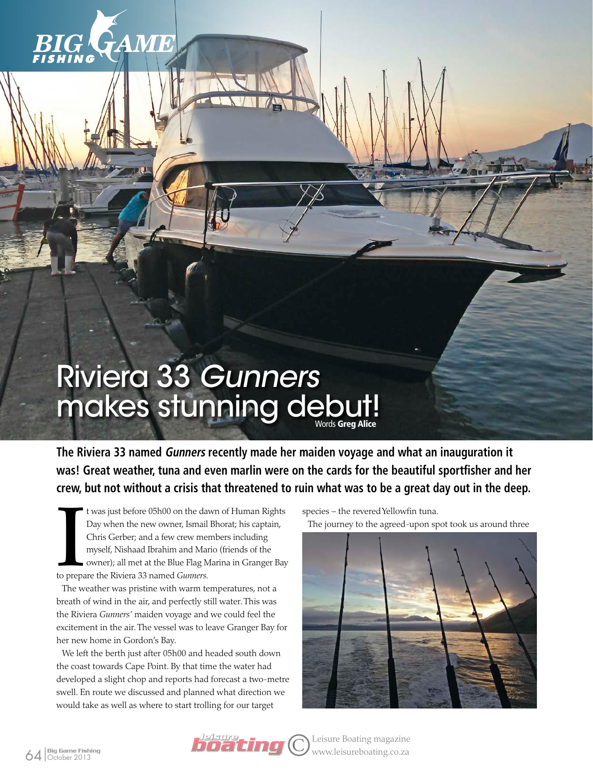

## Riviera 33 Gunners makes stunning debut!

**The Riviera 33 named Gunners recently made her maiden voyage and what an inauguration it was! Great weather, tuna and even marlin were on the cards for the beautiful sportfisher and her crew, but not without a crisis that threatened to ruin what was to be a great day out in the deep.**

t was just before 05h00 on the da<br>Day when the new owner, Ismail<br>Chris Gerber; and a few crew me<br>myself, Nishaad Ibrahim and Mai<br>owner); all met at the Blue Flag N<br>to prepare the Riviera 33 named *Gunners*. t was just before 05h00 on the dawn of Human Rights Day when the new owner, Ismail Bhorat; his captain, Chris Gerber; and a few crew members including myself, Nishaad Ibrahim and Mario (friends of the owner); all met at the Blue Flag Marina in Granger Bay

The weather was pristine with warm temperatures, not a breath of wind in the air, and perfectly still water. This was the Riviera *Gunners'* maiden voyage and we could feel the excitement in the air. The vessel was to leave Granger Bay for her new home in Gordon's Bay.

We left the berth just after 05h00 and headed south down the coast towards Cape Point. By that time the water had developed a slight chop and reports had forecast a two-metre swell. En route we discussed and planned what direction we would take as well as where to start trolling for our target

species – the revered Yellowfin tuna.

The journey to the agreed-upon spot took us around three



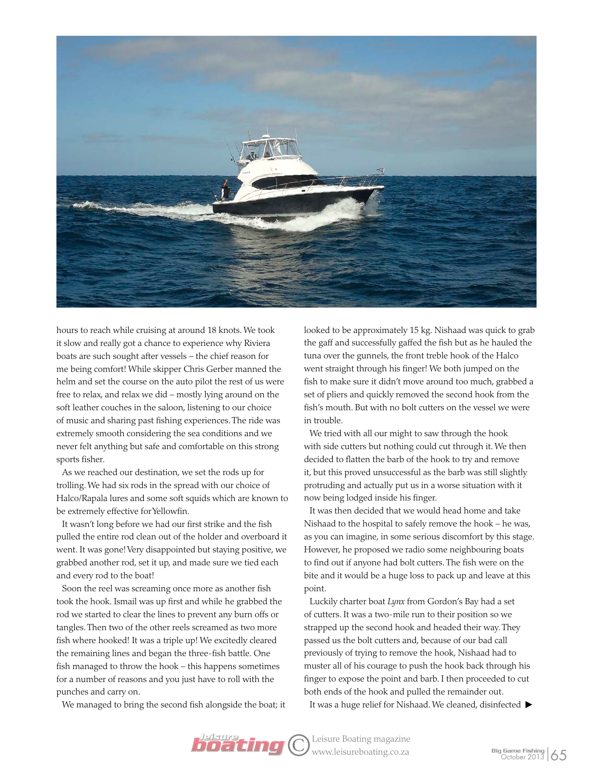

hours to reach while cruising at around 18 knots. We took it slow and really got a chance to experience why Riviera boats are such sought after vessels – the chief reason for me being comfort! While skipper Chris Gerber manned the helm and set the course on the auto pilot the rest of us were free to relax, and relax we did – mostly lying around on the soft leather couches in the saloon, listening to our choice of music and sharing past fishing experiences. The ride was extremely smooth considering the sea conditions and we never felt anything but safe and comfortable on this strong sports fisher.

As we reached our destination, we set the rods up for trolling. We had six rods in the spread with our choice of Halco/Rapala lures and some soft squids which are known to be extremely effective for Yellowfin.

It wasn't long before we had our first strike and the fish pulled the entire rod clean out of the holder and overboard it went. It was gone! Very disappointed but staying positive, we grabbed another rod, set it up, and made sure we tied each and every rod to the boat!

Soon the reel was screaming once more as another fish took the hook. Ismail was up first and while he grabbed the rod we started to clear the lines to prevent any burn offs or tangles. Then two of the other reels screamed as two more fish where hooked! It was a triple up! We excitedly cleared the remaining lines and began the three-fish battle. One fish managed to throw the hook – this happens sometimes for a number of reasons and you just have to roll with the punches and carry on.

We managed to bring the second fish alongside the boat; it

looked to be approximately 15 kg. Nishaad was quick to grab the gaff and successfully gaffed the fish but as he hauled the tuna over the gunnels, the front treble hook of the Halco went straight through his finger! We both jumped on the fish to make sure it didn't move around too much, grabbed a set of pliers and quickly removed the second hook from the fish's mouth. But with no bolt cutters on the vessel we were in trouble.

We tried with all our might to saw through the hook with side cutters but nothing could cut through it. We then decided to flatten the barb of the hook to try and remove it, but this proved unsuccessful as the barb was still slightly protruding and actually put us in a worse situation with it now being lodged inside his finger.

It was then decided that we would head home and take Nishaad to the hospital to safely remove the hook – he was, as you can imagine, in some serious discomfort by this stage. However, he proposed we radio some neighbouring boats to find out if anyone had bolt cutters. The fish were on the bite and it would be a huge loss to pack up and leave at this point.

Luckily charter boat *Lynx* from Gordon's Bay had a set of cutters. It was a two-mile run to their position so we strapped up the second hook and headed their way. They passed us the bolt cutters and, because of our bad call previously of trying to remove the hook, Nishaad had to muster all of his courage to push the hook back through his finger to expose the point and barb. I then proceeded to cut both ends of the hook and pulled the remainder out.

It was a huge relief for Nishaad. We cleaned, disinfected

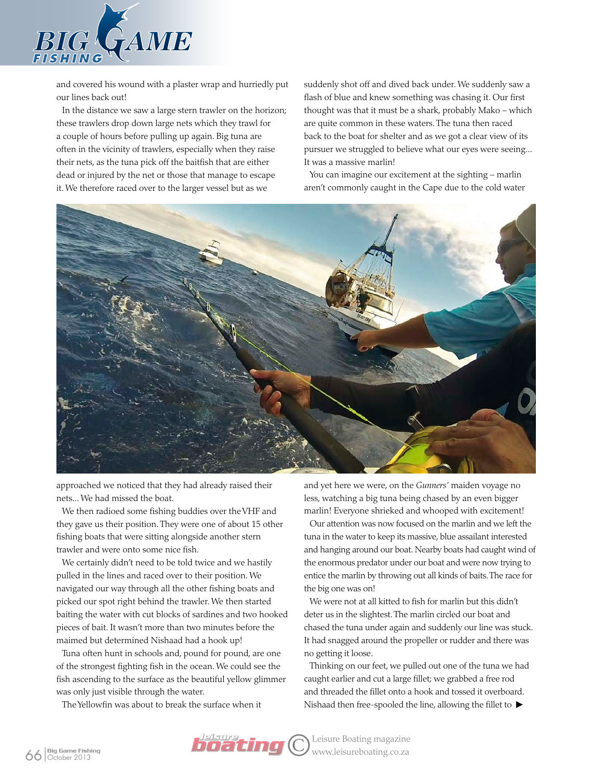

and covered his wound with a plaster wrap and hurriedly put our lines back out!

In the distance we saw a large stern trawler on the horizon; these trawlers drop down large nets which they trawl for a couple of hours before pulling up again. Big tuna are often in the vicinity of trawlers, especially when they raise their nets, as the tuna pick off the baitfish that are either dead or injured by the net or those that manage to escape it. We therefore raced over to the larger vessel but as we

suddenly shot off and dived back under. We suddenly saw a flash of blue and knew something was chasing it. Our first thought was that it must be a shark, probably Mako – which are quite common in these waters. The tuna then raced back to the boat for shelter and as we got a clear view of its pursuer we struggled to believe what our eyes were seeing... It was a massive marlin!

You can imagine our excitement at the sighting – marlin aren't commonly caught in the Cape due to the cold water



approached we noticed that they had already raised their nets... We had missed the boat.

We then radioed some fishing buddies over the VHF and they gave us their position. They were one of about 15 other fishing boats that were sitting alongside another stern trawler and were onto some nice fish.

We certainly didn't need to be told twice and we hastily pulled in the lines and raced over to their position. We navigated our way through all the other fishing boats and picked our spot right behind the trawler. We then started baiting the water with cut blocks of sardines and two hooked pieces of bait. It wasn't more than two minutes before the maimed but determined Nishaad had a hook up!

Tuna often hunt in schools and, pound for pound, are one of the strongest fighting fish in the ocean. We could see the fish ascending to the surface as the beautiful yellow glimmer was only just visible through the water.

The Yellowfin was about to break the surface when it

and yet here we were, on the *Gunners'* maiden voyage no less, watching a big tuna being chased by an even bigger marlin! Everyone shrieked and whooped with excitement!

Our attention was now focused on the marlin and we left the tuna in the water to keep its massive, blue assailant interested and hanging around our boat. Nearby boats had caught wind of the enormous predator under our boat and were now trying to entice the marlin by throwing out all kinds of baits. The race for the big one was on!

We were not at all kitted to fish for marlin but this didn't deter us in the slightest. The marlin circled our boat and chased the tuna under again and suddenly our line was stuck. It had snagged around the propeller or rudder and there was no getting it loose.

Thinking on our feet, we pulled out one of the tuna we had caught earlier and cut a large fillet; we grabbed a free rod and threaded the fillet onto a hook and tossed it overboard. Nishaad then free-spooled the line, allowing the fillet to  $\blacktriangleright$